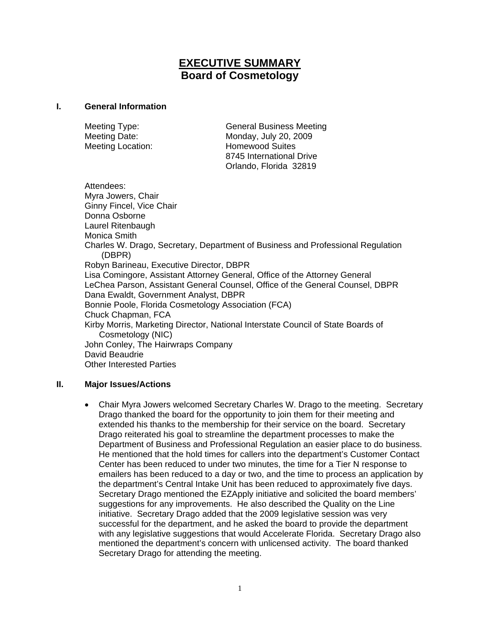# **EXECUTIVE SUMMARY Board of Cosmetology**

#### **I. General Information**

Meeting Type: General Business Meeting Meeting Date: Monday, July 20, 2009 Meeting Location: **Homewood Suites**  8745 International Drive Orlando, Florida 32819

Attendees: Myra Jowers, Chair Ginny Fincel, Vice Chair Donna Osborne Laurel Ritenbaugh Monica Smith Charles W. Drago, Secretary, Department of Business and Professional Regulation (DBPR) Robyn Barineau, Executive Director, DBPR Lisa Comingore, Assistant Attorney General, Office of the Attorney General LeChea Parson, Assistant General Counsel, Office of the General Counsel, DBPR Dana Ewaldt, Government Analyst, DBPR Bonnie Poole, Florida Cosmetology Association (FCA) Chuck Chapman, FCA Kirby Morris, Marketing Director, National Interstate Council of State Boards of Cosmetology (NIC) John Conley, The Hairwraps Company David Beaudrie Other Interested Parties

## **II. Major Issues/Actions**

• Chair Myra Jowers welcomed Secretary Charles W. Drago to the meeting. Secretary Drago thanked the board for the opportunity to join them for their meeting and extended his thanks to the membership for their service on the board. Secretary Drago reiterated his goal to streamline the department processes to make the Department of Business and Professional Regulation an easier place to do business. He mentioned that the hold times for callers into the department's Customer Contact Center has been reduced to under two minutes, the time for a Tier N response to emailers has been reduced to a day or two, and the time to process an application by the department's Central Intake Unit has been reduced to approximately five days. Secretary Drago mentioned the EZApply initiative and solicited the board members' suggestions for any improvements. He also described the Quality on the Line initiative. Secretary Drago added that the 2009 legislative session was very successful for the department, and he asked the board to provide the department with any legislative suggestions that would Accelerate Florida. Secretary Drago also mentioned the department's concern with unlicensed activity. The board thanked Secretary Drago for attending the meeting.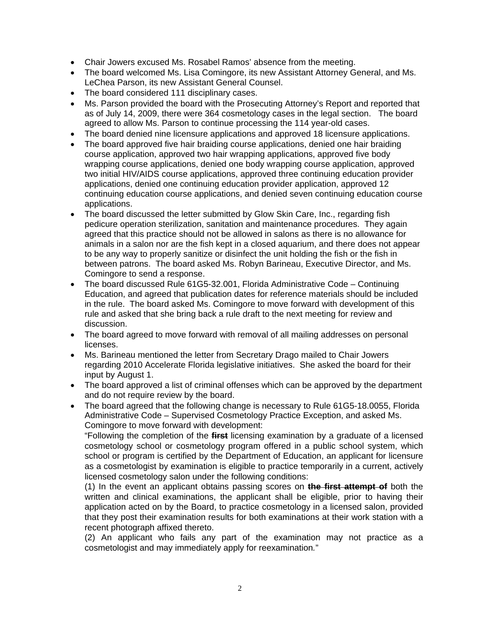- Chair Jowers excused Ms. Rosabel Ramos' absence from the meeting.
- The board welcomed Ms. Lisa Comingore, its new Assistant Attorney General, and Ms. LeChea Parson, its new Assistant General Counsel.
- The board considered 111 disciplinary cases.
- Ms. Parson provided the board with the Prosecuting Attorney's Report and reported that as of July 14, 2009, there were 364 cosmetology cases in the legal section. The board agreed to allow Ms. Parson to continue processing the 114 year-old cases.
- The board denied nine licensure applications and approved 18 licensure applications.
- The board approved five hair braiding course applications, denied one hair braiding course application, approved two hair wrapping applications, approved five body wrapping course applications, denied one body wrapping course application, approved two initial HIV/AIDS course applications, approved three continuing education provider applications, denied one continuing education provider application, approved 12 continuing education course applications, and denied seven continuing education course applications.
- The board discussed the letter submitted by Glow Skin Care, Inc., regarding fish pedicure operation sterilization, sanitation and maintenance procedures. They again agreed that this practice should not be allowed in salons as there is no allowance for animals in a salon nor are the fish kept in a closed aquarium, and there does not appear to be any way to properly sanitize or disinfect the unit holding the fish or the fish in between patrons. The board asked Ms. Robyn Barineau, Executive Director, and Ms. Comingore to send a response.
- The board discussed Rule 61G5-32.001, Florida Administrative Code Continuing Education, and agreed that publication dates for reference materials should be included in the rule. The board asked Ms. Comingore to move forward with development of this rule and asked that she bring back a rule draft to the next meeting for review and discussion.
- The board agreed to move forward with removal of all mailing addresses on personal licenses.
- Ms. Barineau mentioned the letter from Secretary Drago mailed to Chair Jowers regarding 2010 Accelerate Florida legislative initiatives. She asked the board for their input by August 1.
- The board approved a list of criminal offenses which can be approved by the department and do not require review by the board.
- The board agreed that the following change is necessary to Rule 61G5-18.0055, Florida Administrative Code – Supervised Cosmetology Practice Exception, and asked Ms. Comingore to move forward with development:

"Following the completion of the **first** licensing examination by a graduate of a licensed cosmetology school or cosmetology program offered in a public school system, which school or program is certified by the Department of Education, an applicant for licensure as a cosmetologist by examination is eligible to practice temporarily in a current, actively licensed cosmetology salon under the following conditions:

(1) In the event an applicant obtains passing scores on **the first attempt of** both the written and clinical examinations, the applicant shall be eligible, prior to having their application acted on by the Board, to practice cosmetology in a licensed salon, provided that they post their examination results for both examinations at their work station with a recent photograph affixed thereto.

(2) An applicant who fails any part of the examination may not practice as a cosmetologist and may immediately apply for reexamination*.*"